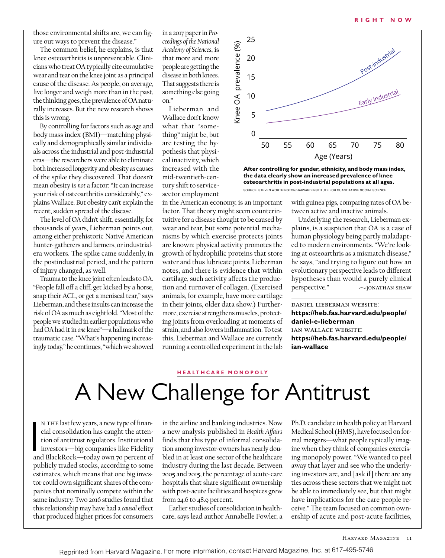those environmental shifts are, we can figure out ways to prevent the disease."

The common belief, he explains, is that knee osteoarthritis is unpreventable. Clinicians who treat OA typically cite cumulative wear and tear on the knee joint as a principal cause of the disease. As people, on average, live longer and weigh more than in the past, the thinking goes, the prevalence of OA naturally increases. But the new research shows this is wrong.

By controlling for factors such as age and body mass index (BMI)—matching physically and demographically similar individuals across the industrial and post-industrial eras—the researchers were able to eliminate both increased longevity and obesity as causes of the spike they discovered. That doesn't mean obesity is *not* a factor: "It can increase your risk of osteoarthritis considerably," explains Wallace. But obesity can't explain the recent, sudden spread of the disease.

The level of OA didn't shift, essentially, for thousands of years, Lieberman points out, among either prehistoric Native American hunter-gatherers and farmers, or industrialera workers. The spike came suddenly, in the postindustrial period, and the pattern of injury changed, as well.

Trauma to the knee joint often leads to OA. "People fall off a cliff, get kicked by a horse, snap their ACL, or get a meniscal tear," says Lieberman, and these insults can increase the risk of OA as much as eightfold. "Most of the people we studied in earlier populations who had OA had it in *one* knee"—a hallmark of the traumatic case. "What's happening increasingly today," he continues, "which we showed

in a 2017 paper in *Proceedings of the National Academy of Sciences*, is that more and more people are getting the disease in both knees. That suggests there is something else going on."

Lieberman and Wallace don't know what that "something" might be, but are testing the hypothesis that physical inactivity, which increased with the mid-twentieth-century shift to servicesector employment

in the American economy, is an important factor. That theory might seem counterintuitive for a disease thought to be caused by wear and tear, but some potential mechanisms by which exercise protects joints are known: physical activity promotes the growth of hydrophilic proteins that store water and thus lubricate joints, Lieberman notes, and there is evidence that within cartilage, such activity affects the production and turnover of collagen. (Exercised animals, for example, have more cartilage in their joints, older data show.) Furthermore, exercise strengthens muscles, protecting joints from overloading at moments of strain, and also lowers inflammation. To test this, Lieberman and Wallace are currently running a controlled experiment in the lab



**After controlling for gender, ethnicity, and body mass index, the data clearly show an increased prevalence of knee osteoarthritis in post-industrial populations at all ages.** SOURCE: STEVEN WORTHINGTON/HARVARD INSTITUTE FOR QUANTITATIVE SOCIAL SCIENCE

with guinea pigs, comparing rates of OA between active and inactive animals.

Underlying the research, Lieberman explains, is a suspicion that OA is a case of human physiology being partly maladapted to modern environments. "We're looking at osteoarthris as a mismatch disease," he says, "and trying to figure out how an evolutionary perspective leads to different hypotheses than would a purely clinical  $perspective."$   $\sim$  [ONATHAN SHAW

daniel lieberman website: **https://heb.fas.harvard.edu/people/ daniel-e-lieberman** ian wallace website: **https://heb.fas.harvard.edu/people/ ian-wallace**

## **H E A LT H CARE MONOPOLY**

# A New Challenge for Antitrust

N THE last few years, a new type of financial consolidation has caught the attention of antitrust regulators. Institutional investors—big companies like Fidelity and BlackRock—today own 70 percent of n the last few years, a new type of financial consolidation has caught the attention of antitrust regulators. Institutional investors—big companies like Fidelity publicly traded stocks, according to some estimates, which means that one big investor could own significant shares of the companies that nominally compete within the same industry. Two 2016 studies found that this relationship may have had a *causal* effect that produced higher prices for consumers

in the airline and banking industries. Now a new analysis published in *Health Affairs* finds that this type of informal consolidation among investor-owners has nearly doubled in at least one sector of the healthcare industry during the last decade. Between 2005 and 2015, the percentage of acute-care hospitals that share significant ownership with post-acute facilities and hospices grew from 24.6 to 48.9 percent.

Earlier studies of consolidation in healthcare, says lead author Annabelle Fowler, a Ph.D. candidate in health policy at Harvard Medical School (HMS), have focused on formal mergers—what people typically imagine when they think of companies exercising monopoly power. "We wanted to peel away that layer and see who the underlying investors are, and [ask if] there are any ties across these sectors that we might not be able to immediately see, but that might have implications for the care people receive." The team focused on common ownership of acute and post-acute facilities,